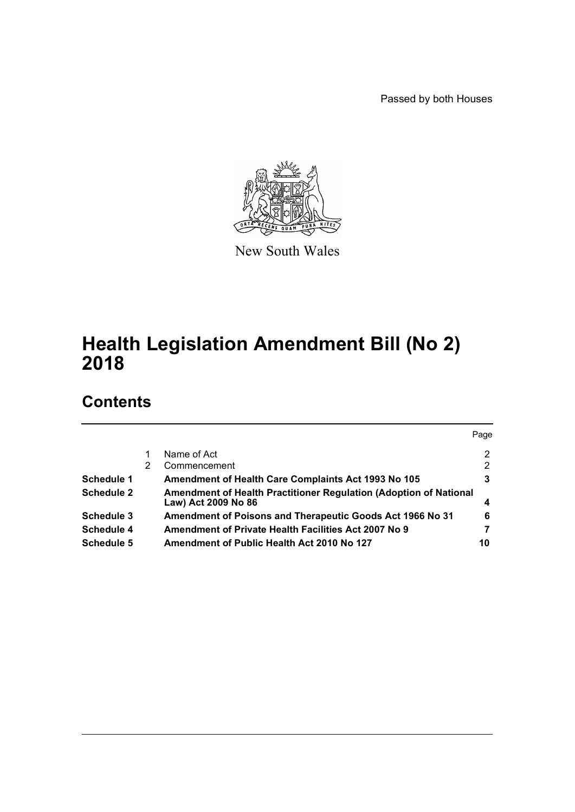Passed by both Houses



New South Wales

# **Health Legislation Amendment Bill (No 2) 2018**

# **Contents**

|                   |   |                                                                                          | Page |
|-------------------|---|------------------------------------------------------------------------------------------|------|
|                   |   | Name of Act                                                                              | 2    |
|                   | 2 | Commencement                                                                             | 2    |
| Schedule 1        |   | Amendment of Health Care Complaints Act 1993 No 105                                      | 3    |
| <b>Schedule 2</b> |   | Amendment of Health Practitioner Regulation (Adoption of National<br>Law) Act 2009 No 86 |      |
| Schedule 3        |   | <b>Amendment of Poisons and Therapeutic Goods Act 1966 No 31</b>                         | 6    |
| Schedule 4        |   | Amendment of Private Health Facilities Act 2007 No 9                                     |      |
| Schedule 5        |   | Amendment of Public Health Act 2010 No 127                                               | 10   |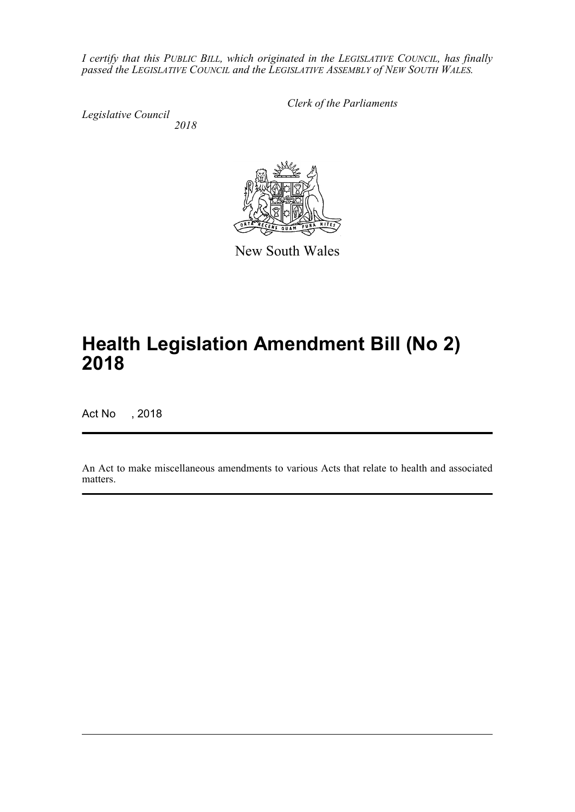*I certify that this PUBLIC BILL, which originated in the LEGISLATIVE COUNCIL, has finally passed the LEGISLATIVE COUNCIL and the LEGISLATIVE ASSEMBLY of NEW SOUTH WALES.*

*Legislative Council 2018* *Clerk of the Parliaments*



New South Wales

# **Health Legislation Amendment Bill (No 2) 2018**

Act No , 2018

An Act to make miscellaneous amendments to various Acts that relate to health and associated matters.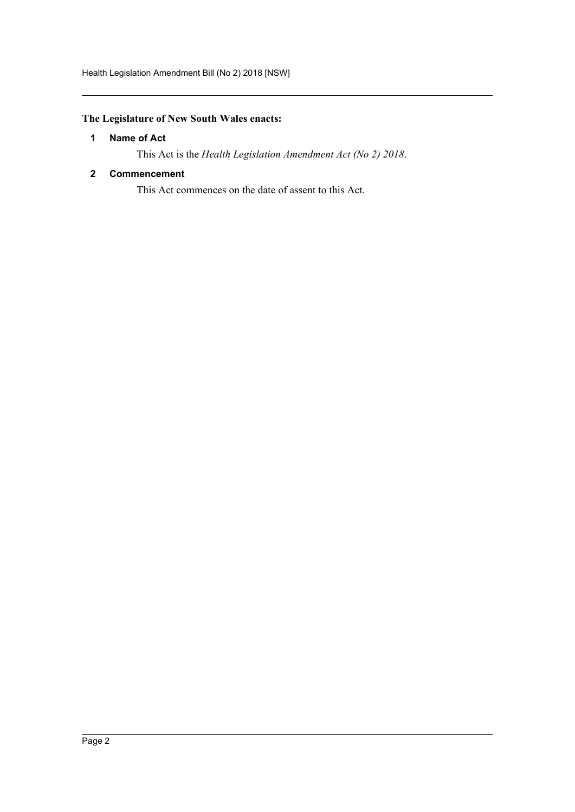Health Legislation Amendment Bill (No 2) 2018 [NSW]

# <span id="page-2-0"></span>**The Legislature of New South Wales enacts:**

# **1 Name of Act**

This Act is the *Health Legislation Amendment Act (No 2) 2018*.

## <span id="page-2-1"></span>**2 Commencement**

This Act commences on the date of assent to this Act.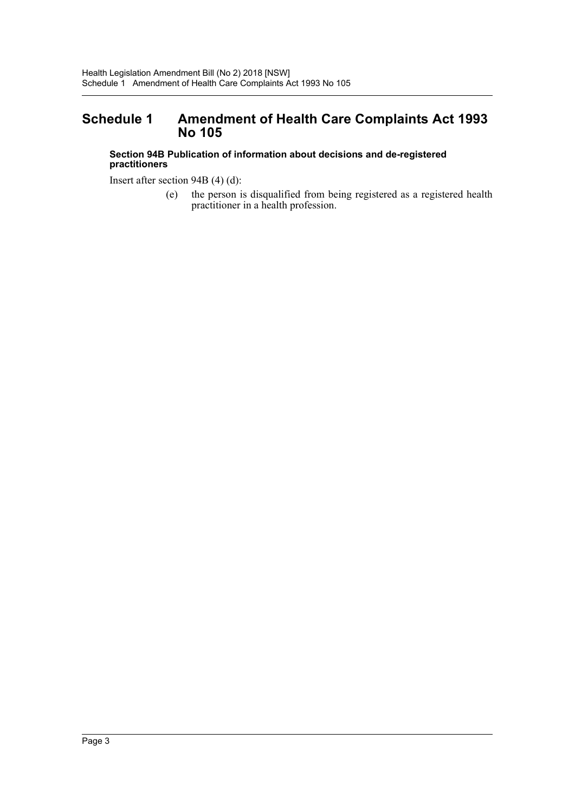# <span id="page-3-0"></span>**Schedule 1 Amendment of Health Care Complaints Act 1993 No 105**

#### **Section 94B Publication of information about decisions and de-registered practitioners**

Insert after section 94B (4) (d):

(e) the person is disqualified from being registered as a registered health practitioner in a health profession.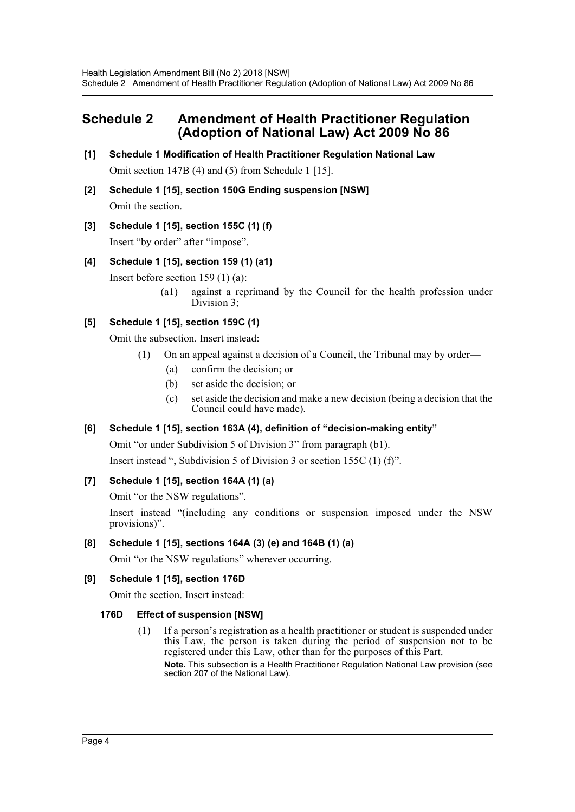# <span id="page-4-0"></span>**Schedule 2 Amendment of Health Practitioner Regulation (Adoption of National Law) Act 2009 No 86**

- **[1] Schedule 1 Modification of Health Practitioner Regulation National Law** Omit section 147B (4) and (5) from Schedule 1 [15].
- **[2] Schedule 1 [15], section 150G Ending suspension [NSW]** Omit the section.
- **[3] Schedule 1 [15], section 155C (1) (f)**

Insert "by order" after "impose".

**[4] Schedule 1 [15], section 159 (1) (a1)**

Insert before section 159 (1) (a):

(a1) against a reprimand by the Council for the health profession under Division 3;

# **[5] Schedule 1 [15], section 159C (1)**

Omit the subsection. Insert instead:

- (1) On an appeal against a decision of a Council, the Tribunal may by order—
	- (a) confirm the decision; or
	- (b) set aside the decision; or
	- (c) set aside the decision and make a new decision (being a decision that the Council could have made).

# **[6] Schedule 1 [15], section 163A (4), definition of "decision-making entity"**

Omit "or under Subdivision 5 of Division 3" from paragraph (b1).

Insert instead ", Subdivision 5 of Division 3 or section 155C (1) (f)".

# **[7] Schedule 1 [15], section 164A (1) (a)**

Omit "or the NSW regulations".

Insert instead "(including any conditions or suspension imposed under the NSW provisions)".

# **[8] Schedule 1 [15], sections 164A (3) (e) and 164B (1) (a)**

Omit "or the NSW regulations" wherever occurring.

# **[9] Schedule 1 [15], section 176D**

Omit the section. Insert instead:

# **176D Effect of suspension [NSW]**

(1) If a person's registration as a health practitioner or student is suspended under this Law, the person is taken during the period of suspension not to be registered under this Law, other than for the purposes of this Part. **Note.** This subsection is a Health Practitioner Regulation National Law provision (see section 207 of the National Law).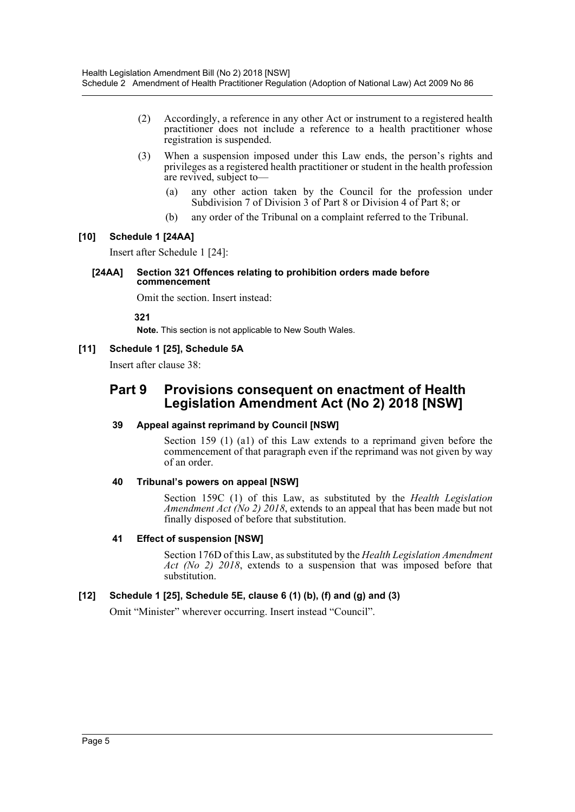- (2) Accordingly, a reference in any other Act or instrument to a registered health practitioner does not include a reference to a health practitioner whose registration is suspended.
- (3) When a suspension imposed under this Law ends, the person's rights and privileges as a registered health practitioner or student in the health profession are revived, subject to—
	- (a) any other action taken by the Council for the profession under Subdivision 7 of Division 3 of Part 8 or Division 4 of Part 8; or
	- (b) any order of the Tribunal on a complaint referred to the Tribunal.

# **[10] Schedule 1 [24AA]**

Insert after Schedule 1 [24]:

#### **[24AA] Section 321 Offences relating to prohibition orders made before commencement**

Omit the section. Insert instead:

**321**

**Note.** This section is not applicable to New South Wales.

## **[11] Schedule 1 [25], Schedule 5A**

Insert after clause 38:

# **Part 9 Provisions consequent on enactment of Health Legislation Amendment Act (No 2) 2018 [NSW]**

#### **39 Appeal against reprimand by Council [NSW]**

Section 159 (1) (a1) of this Law extends to a reprimand given before the commencement of that paragraph even if the reprimand was not given by way of an order.

#### **40 Tribunal's powers on appeal [NSW]**

Section 159C (1) of this Law, as substituted by the *Health Legislation Amendment Act (No 2) 2018*, extends to an appeal that has been made but not finally disposed of before that substitution.

# **41 Effect of suspension [NSW]**

Section 176D of this Law, as substituted by the *Health Legislation Amendment Act (No 2) 2018*, extends to a suspension that was imposed before that substitution.

# **[12] Schedule 1 [25], Schedule 5E, clause 6 (1) (b), (f) and (g) and (3)**

Omit "Minister" wherever occurring. Insert instead "Council".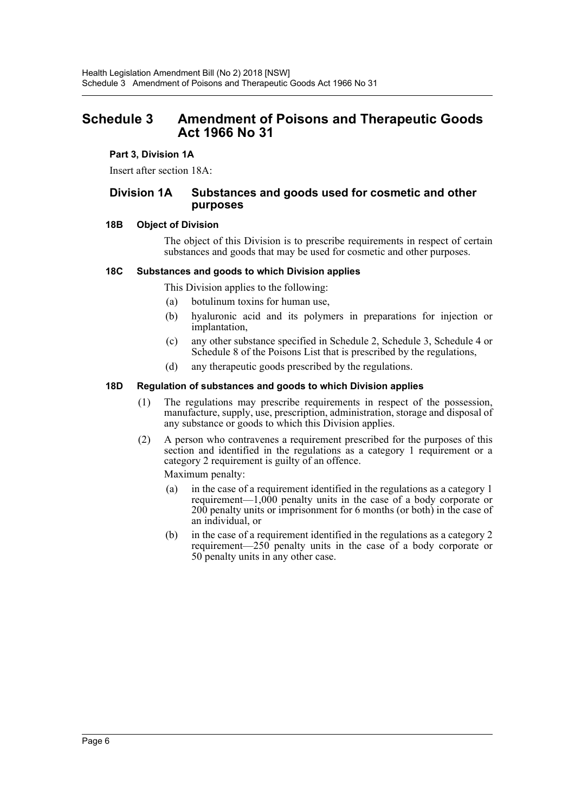# <span id="page-6-0"></span>**Schedule 3 Amendment of Poisons and Therapeutic Goods Act 1966 No 31**

## **Part 3, Division 1A**

Insert after section 18A:

# **Division 1A Substances and goods used for cosmetic and other purposes**

#### **18B Object of Division**

The object of this Division is to prescribe requirements in respect of certain substances and goods that may be used for cosmetic and other purposes.

#### **18C Substances and goods to which Division applies**

This Division applies to the following:

- (a) botulinum toxins for human use,
- (b) hyaluronic acid and its polymers in preparations for injection or implantation,
- (c) any other substance specified in Schedule 2, Schedule 3, Schedule 4 or Schedule 8 of the Poisons List that is prescribed by the regulations,
- (d) any therapeutic goods prescribed by the regulations.

#### **18D Regulation of substances and goods to which Division applies**

- (1) The regulations may prescribe requirements in respect of the possession, manufacture, supply, use, prescription, administration, storage and disposal of any substance or goods to which this Division applies.
- (2) A person who contravenes a requirement prescribed for the purposes of this section and identified in the regulations as a category 1 requirement or a category 2 requirement is guilty of an offence.

Maximum penalty:

- (a) in the case of a requirement identified in the regulations as a category 1 requirement—1,000 penalty units in the case of a body corporate or 200 penalty units or imprisonment for 6 months (or both) in the case of an individual, or
- (b) in the case of a requirement identified in the regulations as a category 2 requirement—250 penalty units in the case of a body corporate or 50 penalty units in any other case.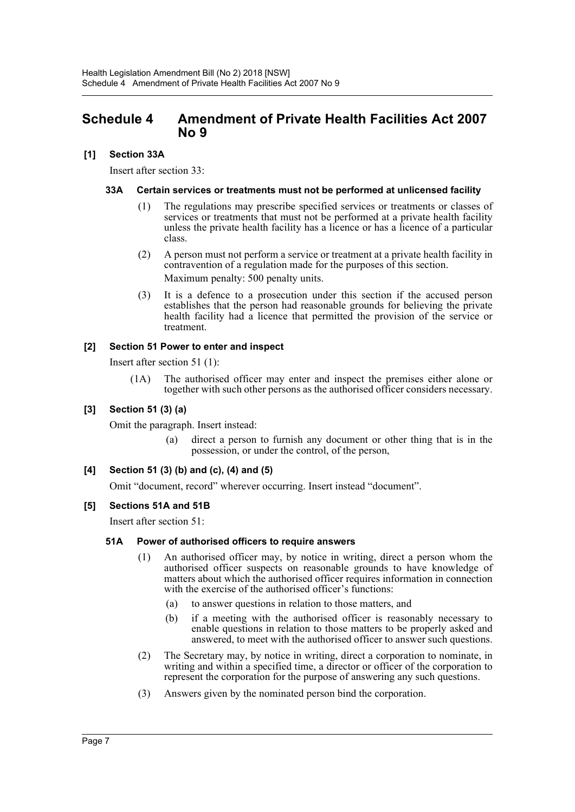# <span id="page-7-0"></span>**Schedule 4 Amendment of Private Health Facilities Act 2007 No 9**

## **[1] Section 33A**

Insert after section 33:

#### **33A Certain services or treatments must not be performed at unlicensed facility**

- (1) The regulations may prescribe specified services or treatments or classes of services or treatments that must not be performed at a private health facility unless the private health facility has a licence or has a licence of a particular class.
- (2) A person must not perform a service or treatment at a private health facility in contravention of a regulation made for the purposes of this section. Maximum penalty: 500 penalty units.
- (3) It is a defence to a prosecution under this section if the accused person establishes that the person had reasonable grounds for believing the private health facility had a licence that permitted the provision of the service or treatment.

## **[2] Section 51 Power to enter and inspect**

Insert after section 51 (1):

(1A) The authorised officer may enter and inspect the premises either alone or together with such other persons as the authorised officer considers necessary.

# **[3] Section 51 (3) (a)**

Omit the paragraph. Insert instead:

(a) direct a person to furnish any document or other thing that is in the possession, or under the control, of the person,

#### **[4] Section 51 (3) (b) and (c), (4) and (5)**

Omit "document, record" wherever occurring. Insert instead "document".

#### **[5] Sections 51A and 51B**

Insert after section 51:

#### **51A Power of authorised officers to require answers**

- (1) An authorised officer may, by notice in writing, direct a person whom the authorised officer suspects on reasonable grounds to have knowledge of matters about which the authorised officer requires information in connection with the exercise of the authorised officer's functions:
	- (a) to answer questions in relation to those matters, and
	- (b) if a meeting with the authorised officer is reasonably necessary to enable questions in relation to those matters to be properly asked and answered, to meet with the authorised officer to answer such questions.
- (2) The Secretary may, by notice in writing, direct a corporation to nominate, in writing and within a specified time, a director or officer of the corporation to represent the corporation for the purpose of answering any such questions.
- (3) Answers given by the nominated person bind the corporation.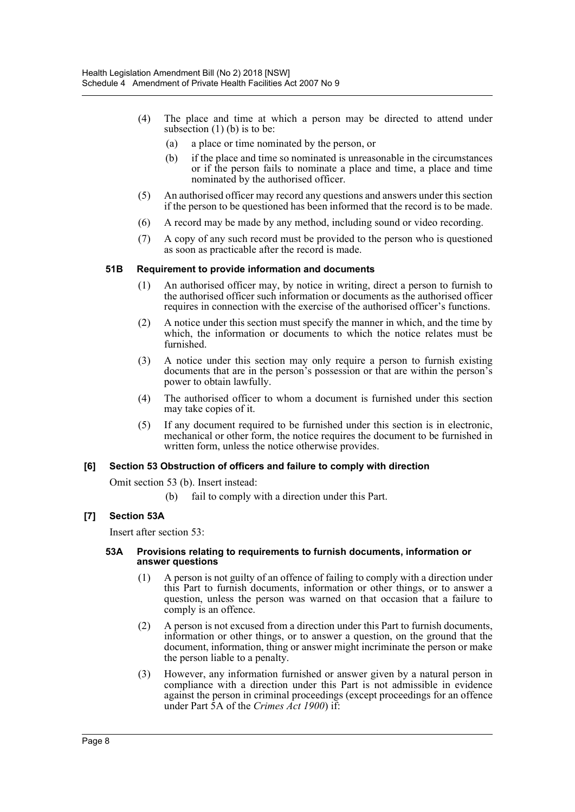- (4) The place and time at which a person may be directed to attend under subsection  $(1)$  (b) is to be:
	- (a) a place or time nominated by the person, or
	- (b) if the place and time so nominated is unreasonable in the circumstances or if the person fails to nominate a place and time, a place and time nominated by the authorised officer.
- (5) An authorised officer may record any questions and answers under this section if the person to be questioned has been informed that the record is to be made.
- (6) A record may be made by any method, including sound or video recording.
- (7) A copy of any such record must be provided to the person who is questioned as soon as practicable after the record is made.

## **51B Requirement to provide information and documents**

- (1) An authorised officer may, by notice in writing, direct a person to furnish to the authorised officer such information or documents as the authorised officer requires in connection with the exercise of the authorised officer's functions.
- (2) A notice under this section must specify the manner in which, and the time by which, the information or documents to which the notice relates must be furnished.
- (3) A notice under this section may only require a person to furnish existing documents that are in the person's possession or that are within the person's power to obtain lawfully.
- (4) The authorised officer to whom a document is furnished under this section may take copies of it.
- (5) If any document required to be furnished under this section is in electronic, mechanical or other form, the notice requires the document to be furnished in written form, unless the notice otherwise provides.

#### **[6] Section 53 Obstruction of officers and failure to comply with direction**

Omit section 53 (b). Insert instead:

(b) fail to comply with a direction under this Part.

# **[7] Section 53A**

Insert after section 53:

#### **53A Provisions relating to requirements to furnish documents, information or answer questions**

- (1) A person is not guilty of an offence of failing to comply with a direction under this Part to furnish documents, information or other things, or to answer a question, unless the person was warned on that occasion that a failure to comply is an offence.
- (2) A person is not excused from a direction under this Part to furnish documents, information or other things, or to answer a question, on the ground that the document, information, thing or answer might incriminate the person or make the person liable to a penalty.
- (3) However, any information furnished or answer given by a natural person in compliance with a direction under this Part is not admissible in evidence against the person in criminal proceedings (except proceedings for an offence under Part 5A of the *Crimes Act 1900*) if: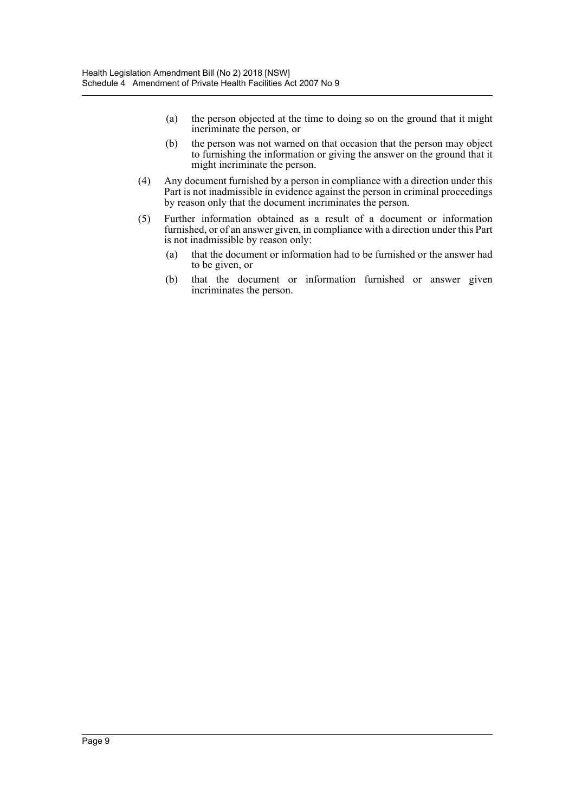- (a) the person objected at the time to doing so on the ground that it might incriminate the person, or
- (b) the person was not warned on that occasion that the person may object to furnishing the information or giving the answer on the ground that it might incriminate the person.
- (4) Any document furnished by a person in compliance with a direction under this Part is not inadmissible in evidence against the person in criminal proceedings by reason only that the document incriminates the person.
- (5) Further information obtained as a result of a document or information furnished, or of an answer given, in compliance with a direction under this Part is not inadmissible by reason only:
	- (a) that the document or information had to be furnished or the answer had to be given, or
	- (b) that the document or information furnished or answer given incriminates the person.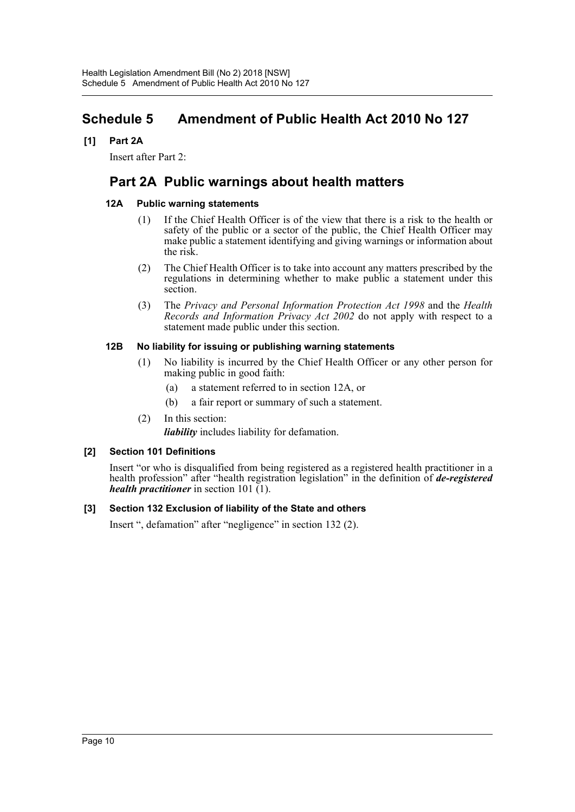# <span id="page-10-0"></span>**Schedule 5 Amendment of Public Health Act 2010 No 127**

# **[1] Part 2A**

Insert after Part 2:

# **Part 2A Public warnings about health matters**

# **12A Public warning statements**

- (1) If the Chief Health Officer is of the view that there is a risk to the health or safety of the public or a sector of the public, the Chief Health Officer may make public a statement identifying and giving warnings or information about the risk.
- (2) The Chief Health Officer is to take into account any matters prescribed by the regulations in determining whether to make public a statement under this section.
- (3) The *Privacy and Personal Information Protection Act 1998* and the *Health Records and Information Privacy Act 2002* do not apply with respect to a statement made public under this section.

# **12B No liability for issuing or publishing warning statements**

- (1) No liability is incurred by the Chief Health Officer or any other person for making public in good faith:
	- (a) a statement referred to in section 12A, or
	- (b) a fair report or summary of such a statement.
- (2) In this section:

*liability* includes liability for defamation.

# **[2] Section 101 Definitions**

Insert "or who is disqualified from being registered as a registered health practitioner in a health profession" after "health registration legislation" in the definition of *de-registered health practitioner* in section 101 (1).

# **[3] Section 132 Exclusion of liability of the State and others**

Insert ", defamation" after "negligence" in section 132 (2).